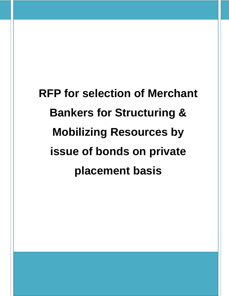**RFP for selection of Merchant Bankers for Structuring & Mobilizing Resources by issue of bonds on private placement basis**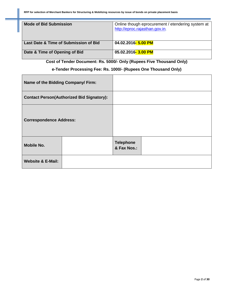| <b>Mode of Bid Submission</b>         | Online though eprocurement / etendering system at<br>http://eproc.rajasthan.gov.in, |
|---------------------------------------|-------------------------------------------------------------------------------------|
| Last Date & Time of Submission of Bid | 04.02.2016- 5.00 PM                                                                 |
| Date & Time of Opening of Bid         | 05.02.2016-3.00 PM                                                                  |

**Cost of Tender Document: Rs. 5000/- Only (Rupees Five Thousand Only)**

### **e-Tender Processing Fee: Rs. 1000/- (Rupees One Thousand Only)**

| Name of the Bidding Company/ Firm: |                                                  |                                 |  |
|------------------------------------|--------------------------------------------------|---------------------------------|--|
|                                    | <b>Contact Person(Authorized Bid Signatory):</b> |                                 |  |
| <b>Correspondence Address:</b>     |                                                  |                                 |  |
| <b>Mobile No.</b>                  |                                                  | <b>Telephone</b><br>& Fax Nos.: |  |
| <b>Website &amp; E-Mail:</b>       |                                                  |                                 |  |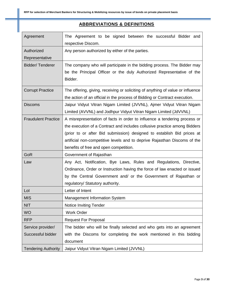# **ABBREVIATIONS & DEFINITIONS**

| Agreement                  | The Agreement to be signed between the successful Bidder and                    |
|----------------------------|---------------------------------------------------------------------------------|
|                            | respective Discom.                                                              |
| Authorized                 | Any person authorized by either of the parties.                                 |
| Representative             |                                                                                 |
| <b>Bidder/Tenderer</b>     | The company who will participate in the bidding process. The Bidder may         |
|                            | be the Principal Officer or the duly Authorized Representative of the           |
|                            | Bidder.                                                                         |
| <b>Corrupt Practice</b>    | The offering, giving, receiving or soliciting of anything of value or influence |
|                            | the action of an official in the process of Bidding or Contract execution.      |
| <b>Discoms</b>             | Jaipur Vidyut Vitran Nigam Limited (JVVNL), Ajmer Vidyut Vitran Nigam           |
|                            | Limited (AVVNL) and Jodhpur Vidyut Vitran Nigam Limited (JdVVNL)                |
| <b>Fraudulent Practice</b> | A misrepresentation of facts in order to influence a tendering process or       |
|                            | the execution of a Contract and includes collusive practice among Bidders       |
|                            | (prior to or after Bid submission) designed to establish Bid prices at          |
|                            | artificial non-competitive levels and to deprive Rajasthan Discoms of the       |
|                            | benefits of free and open competition.                                          |
| GoR                        | Government of Rajasthan                                                         |
| Law                        | Any Act, Notification, Bye Laws, Rules and Regulations, Directive,              |
|                            | Ordinance, Order or Instruction having the force of law enacted or issued       |
|                            | by the Central Government and/ or the Government of Rajasthan or                |
|                            | regulatory/ Statutory authority.                                                |
| Lol                        | Letter of Intent                                                                |
| <b>MIS</b>                 | <b>Management Information System</b>                                            |
| <b>NIT</b>                 | <b>Notice Inviting Tender</b>                                                   |
| <b>WO</b>                  | <b>Work Order</b>                                                               |
| <b>RFP</b>                 | <b>Request For Proposal</b>                                                     |
| Service provider/          | The bidder who will be finally selected and who gets into an agreement          |
| Successful bidder          | with the Discoms for completing the work mentioned in this bidding              |
|                            | document                                                                        |
| <b>Tendering Authority</b> | Jaipur Vidyut Vitran Nigam Limited (JVVNL)                                      |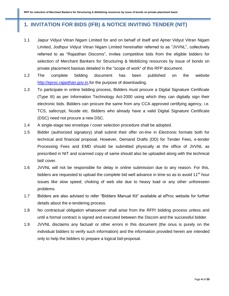# **1. INVITATION FOR BIDS (IFB) & NOTICE INVITING TENDER (NIT)**

- 1.1 Jaipur Vidyut Vitran Nigam Limited for and on behalf of itself and Ajmer Vidyut Vitran Nigam Limited, Jodhpur Vidyut Vitran Nigam Limited hereinafter referred to as "JVVNL", collectively referred to as "Rajasthan Discoms", invites competitive bids from the eligible bidders for selection of Merchant Bankers for Structuring & Mobilizing resources by issue of bonds on private placement basisas detailed in the "scope of work" of this RFP document.
- 1.2 The complete bidding document has been published on the website http://eproc.rajasthan.gov.in.for the purpose of downloading.
- 1.3 To participate in online bidding process, Bidders must procure a Digital Signature Certificate (Type III) as per Information Technology Act-2000 using which they can digitally sign their electronic bids. Bidders can procure the same from any CCA approved certifying agency, i.e. TCS, safecrypt, Ncode etc. Bidders who already have a valid Digital Signature Certificate (DSC) need not procure a new DSC.
- 1.4 A single-stage two envelope / cover selection procedure shall be adopted.
- 1.5 Bidder (authorized signatory) shall submit their offer on-line in Electronic formats both for technical and financial proposal. However, Demand Drafts (DD) for Tender Fees, e-tender Processing Fees and EMD should be submitted physically at the office of JVVNL as prescribed in NIT and scanned copy of same should also be uploaded along with the technical bid/ cover.
- 1.6 JVVNL will not be responsible for delay in online submission due to any reason. For this, bidders are requested to upload the complete bid well advance in time so as to avoid  $11<sup>th</sup>$  hour issues like slow speed; choking of web site due to heavy load or any other unforeseen problems.
- 1.7 Bidders are also advised to refer "Bidders Manual Kit" available at eProc website for further details about the e-tendering process.
- 1.8 No contractual obligation whatsoever shall arise from the RFP/ bidding process unless and until a formal contract is signed and executed between the Discom and the successful bidder.
- 1.9 JVVNL disclaims any factual/ or other errors in this document (the onus is purely on the individual bidders to verify such information) and the information provided herein are intended only to help the bidders to prepare a logical bid-proposal.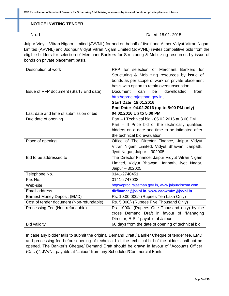#### **NOTICE INVITING TENDER**

#### No.:1 Dated: 18.01. 2015

Jaipur Vidyut Vitran Nigam Limited (JVVNL) for and on behalf of itself and Ajmer Vidyut Vitran Nigam Limited (AVVNL) and Jodhpur Vidyut Vitran Nigam Limited (JdVVNL) invites competitive bids from the eligible bidders for selection of Merchant Bankers for Structuring & Mobilizing resources by issue of bonds on private placement basis.

| Description of work                      | RFP for selection of Merchant Bankers for           |
|------------------------------------------|-----------------------------------------------------|
|                                          | Structuring & Mobilizing resources by issue of      |
|                                          | bonds as per scope of work on private placement     |
|                                          | basis with option to retain oversubscription.       |
| Issue of RFP document (Start / End date) | downloaded<br>be<br>from<br><b>Document</b><br>can  |
|                                          | http://eproc.rajasthan.gov.in,                      |
|                                          | <b>Start Date: 18.01.2016</b>                       |
|                                          | End Date: 04.02.2016 (up to 5:00 PM only)           |
| Last date and time of submission of bid  | 04.02.2016 Up to 5.00 PM                            |
| Due date of opening                      | Part - I Technical bid: - 05.02.2016 at 3.00 PM     |
|                                          | Part - Il Price bid of the technically qualified    |
|                                          | bidders on a date and time to be intimated after    |
|                                          | the technical bid evaluation.                       |
| Place of opening                         | Office of The Director Finance, Jaipur Vidyut       |
|                                          | Vitran Nigam Limited, Vidyut Bhawan, Janpath,       |
|                                          | Jyoti Nagar, Jaipur - 302005                        |
| Bid to be addressed to                   | The Director Finance, Jaipur Vidyut Vitran Nigam    |
|                                          | Limited, Vidyut Bhawan, Janpath, Jyoti Nagar,       |
|                                          | Jaipur - 302005                                     |
| Telephone No.                            | 0141-2740451                                        |
| Fax No.                                  | 0141-2747038                                        |
| Web-site                                 | http://eproc.rajasthan.gov.in, www.jaipurdiscom.com |
| Email address                            | dirfinance@jvvnl.in, www.caowmfm@jvvnl.in           |
| Earnest Money Deposit (EMD)              | Rs. 10,00,000/- (Rupees Ten Lakh Only)              |
| Cost of tender document (Non-refundable) | Rs. 5,000/- (Rupees Five Thousand Only)             |
| Processing Fee (Non-refundable)          | Rs. 1000/- (Rupees One Thousand only) by the        |
|                                          | cross Demand Draft in favour of "Managing           |
|                                          | Director, RISL" payable at Jaipur.                  |
| <b>Bid validity</b>                      | 60 days from the date of opening of technical bid.  |

In case any bidder fails to submit the original Demand Draft / Banker Cheque of tender fee, EMD and processing fee before opening of technical bid, the technical bid of the bidder shall not be opened. The Banker's Cheque/ Demand Draft should be drawn in favour of "Accounts Officer (Cash)", JVVNL payable at "Jaipur" from any Scheduled/Commercial Bank.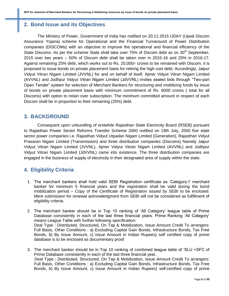# **2. Bond Issue and its Objectives**

The Ministry of Power, Government of India has notified on 20.11.2015 UDAY (Ujwal Discom Assurance Yojana) scheme for Operational and the Financial Turnaround of Power Distribution companies (DISCOMs) with an objective to improve the operational and financial efficiency of the State Discoms. As per the scheme State shall take over  $75%$  of Discom debt as on  $30<sup>th</sup>$  September, 2015 over two years – 50% of Discom debt shall be taken over in 2015-16 and 25% in 2016-17. Against remaining 25% debt, which works out to Rs. 20,000/- crores to be remained with Discom, it is proposed to issue bonds on private placement basis for retiring the high cost debt. Accordingly, Jaipur Vidyut Vitran Nigam Limited (JVVNL) for and on behalf of itself, Ajmer Vidyut Vitran Nigam Limited (AVVNL) and Jodhpur Vidyut Vitran Nigam Limited (JdVVNL) invites sealed bids through "Two-part Open Tender" system for selection of Merchant Bankers for structuring and mobilizing funds by issue of bonds on private placement basis with minimum commitment of Rs. 6000 crores ( total for all Discoms) with option to retain over subscription. The minimum committed amount in respect of each Discom shall be in proportion to their remaining (25%) debt.

# **3. BACKGROUND**

Consequent upon unbundling of erstwhile Rajasthan State Electricity Board (RSEB) pursuant to Rajasthan Power Sector Reforms Transfer Scheme 2000 notified on 19th July, 2000 five state sector power companies i.e. Rajasthan Vidyut Utpadan Nigam Limited (Generation), Rajasthan Vidyut Prasaran Nigam Limited (Transmission) and three distribution companies (Discoms) Namely Jaipur Vidyut Vitran Nigam Limited (JVVNL), Ajmer Vidyut Vitran Nigam Limited (AVVNL) and Jodhpur Vidyut Vitran Nigam Limited (JdVVNL) came into existence. The three distribution companies are engaged in the business of supply of electricity in their designated area of supply within the state.

# **4. Eligibility Criteria**

- 1. The merchant bankers shall hold valid SEBI Registration certificate as 'Category-I' merchant banker for minimum 5 financial years and the registration shall be valid during the bond mobilization period – Copy of the Certificate of Registration issued by SEBI to be enclosed. Mere submission for renewal acknowledgment from SEBI will not be considered as fulfillment of eligibility criteria.
- 2. The merchant banker should be in Top 10 ranking of 'All Category' league table of Prime Database consistently in each of the last three financial years. Prime Ranking 'All Category' means League Table with further following specification: Deal Type : Distributed, Structured, On Tap & Mobilization, Issue Amount Credit To arrangers: Full Basis, Other Conditions : a) Excluding Capital Gain Bonds, Infrastructure Bonds, Tax Free Bonds, b) By Issue Amount, c) Issue Amount in Indian Rupees) self certified copy of prime database is to be enclosed as documentary proof.
- 3. The merchant banker should be in Top 10 ranking of combined league table of 'SLU +SFC of Prime Database consistently in each of the last three financial year. Deal Type : Distributed, Structured, On Tap & Mobilization, Issue Amount Credit To arrangers: Full Basis, Other Conditions : a) Excluding Capital Gain Bonds, Infrastructure Bonds, Tax Free Bonds, b) By Issue Amount, c) Issue Amount in Indian Rupees) self-certified copy of prime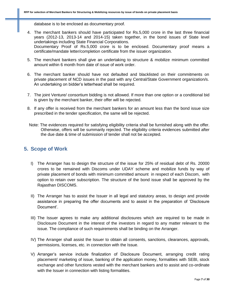database is to be enclosed as documentary proof.

- 4. The merchant bankers should have participated for Rs.5,000 crore in the last three financial years (2012-13, 2013-14 and 2014-15) taken together, in the bond issues of State level undertakings including State Financial Corporations. Documentary Proof of Rs.5,000 crore is to be enclosed. Documentary proof means a certificate/mandate letter/completion certificate from the issuer organization.
- 5. The merchant bankers shall give an undertaking to structure & mobilize minimum committed amount within 6 month from date of issue of work order.
- 6. The merchant banker should have not defaulted and blacklisted on their commitments on private placement of NCD issues in the past with any Central/State Government organization/s. An undertaking on bidder's letterhead shall be required.
- 7. The joint Venture/ consortium bidding is not allowed. If more than one option or a conditional bid is given by the merchant banker, their offer will be rejected.
- 8. If any offer is received from the merchant bankers for an amount less than the bond issue size prescribed in the tender specification, the same will be rejected.
- Note: The evidences required for satisfying eligibility criteria shall be furnished along with the offer. Otherwise, offers will be summarily rejected. The eligibility criteria evidences submitted after the due date & time of submission of tender shall not be accepted.

## **5. Scope of Work**

- I) The Arranger has to design the structure of the issue for 25% of residual debt of Rs. 20000 crores to be remained with Discoms under UDAY scheme and mobilize funds by way of private placement of bonds with minimum committed amount in respect of each Discom, with option to retain over subscription. The structure of the bond issue shall be approved by the Rajasthan DISCOMS.
- II) The Arranger has to assist the Issuer in all legal and statutory areas, to design and provide assistance in preparing the offer documents and to assist in the preparation of 'Disclosure Document'.
- III) The Issuer agrees to make any additional disclosures which are required to be made in Disclosure Document in the interest of the investors in regard to any matter relevant to the issue. The compliance of such requirements shall be binding on the Arranger.
- IV) The Arranger shall assist the Issuer to obtain all consents, sanctions, clearances, approvals, permissions, licenses, etc. in connection with the Issue.
- V) Arranger's service include finalization of Disclosure Document, arranging credit rating placement/ marketing of issue, banking of the application money, formalities with SEBI, stock exchange and other functions vested with the merchant bankers and to assist and co-ordinate with the Issuer in connection with listing formalities.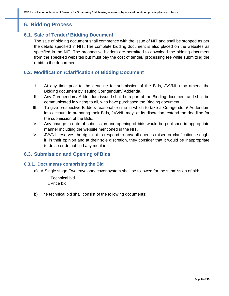# **6. Bidding Process**

# **6.1. Sale of Tender/ Bidding Document**

The sale of bidding document shall commence with the issue of NIT and shall be stopped as per the details specified in NIT. The complete bidding document is also placed on the websites as specified in the NIT. The prospective bidders are permitted to download the bidding document from the specified websites but must pay the cost of tender/ processing fee while submitting the e-bid to the department.

# **6.2. Modification /Clarification of Bidding Document**

- I. At any time prior to the deadline for submission of the Bids, JVVNL may amend the Bidding document by issuing Corrigendum/ Addenda.
- II. Any Corrigendum/ Addendum issued shall be a part of the Bidding document and shall be communicated in writing to all, who have purchased the Bidding document.
- III. To give prospective Bidders reasonable time in which to take a Corrigendum/ Addendum into account in preparing their Bids, JVVNL may, at its discretion, extend the deadline for the submission of the Bids.
- IV. Any change in date of submission and opening of bids would be published in appropriate manner including the website mentioned in the NIT.
- V. JVVNL reserves the right not to respond to any/ all queries raised or clarifications sought if, in their opinion and at their sole discretion, they consider that it would be inappropriate to do so or do not find any merit in it.

## **6.3. Submission and Opening of Bids**

#### **6.3.1. Documents comprising the Bid**

- a) A Single stage-Two envelope/ cover system shall be followed for the submission of bid:
	- oTechnical bid oPrice bid
- b) The technical bid shall consist of the following documents: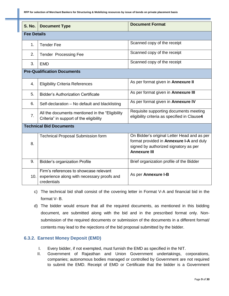**RFP for selection of Merchant Bankers for Structuring & Mobilizing resources by issue of bonds on private placement basis**

| S. No.             | <b>Document Type</b>                                                                                | <b>Document Format</b>                                                                                                                                  |
|--------------------|-----------------------------------------------------------------------------------------------------|---------------------------------------------------------------------------------------------------------------------------------------------------------|
| <b>Fee Details</b> |                                                                                                     |                                                                                                                                                         |
| 1.                 | <b>Tender Fee</b>                                                                                   | Scanned copy of the receipt                                                                                                                             |
| 2.                 | <b>Tender Processing Fee</b>                                                                        | Scanned copy of the receipt                                                                                                                             |
| 3.                 | <b>EMD</b>                                                                                          | Scanned copy of the receipt                                                                                                                             |
|                    | <b>Pre-Qualification Documents</b>                                                                  |                                                                                                                                                         |
| 4.                 | <b>Eligibility Criteria References</b>                                                              | As per format given in Annexure II                                                                                                                      |
| 5.                 | <b>Bidder's Authorization Certificate</b>                                                           | As per format given in Annexure III                                                                                                                     |
| 6.                 | Self-declaration - No default and blacklisting                                                      | As per format given in Annexure IV                                                                                                                      |
| 7 <sub>1</sub>     | All the documents mentioned in the "Eligibility"<br>Criteria" in support of the eligibility         | Requisite supporting documents meeting<br>eligibility criteria as specified in Clause4                                                                  |
|                    | <b>Technical Bid Documents</b>                                                                      |                                                                                                                                                         |
| 8.                 | <b>Technical Proposal Submission form</b>                                                           | On Bidder's original Letter Head and as per<br>format provided in Annexure I-A and duly<br>signed by authorized signatory as per<br><b>Annexure III</b> |
| 9.                 | <b>Bidder's organization Profile</b>                                                                | Brief organization profile of the Bidder                                                                                                                |
| 10.                | Firm's references to showcase relevant<br>experience along with necessary proofs and<br>credentials | As per Annexure I-B                                                                                                                                     |

- c) The technical bid shall consist of the covering letter in Format V-A and financial bid in the format V- B.
- d) The bidder would ensure that all the required documents, as mentioned in this bidding document, are submitted along with the bid and in the prescribed format only. Nonsubmission of the required documents or submission of the documents in a different format/ contents may lead to the rejections of the bid proposal submitted by the bidder.

### **6.3.2. Earnest Money Deposit (EMD)**

- I. Every bidder, if not exempted, must furnish the EMD as specified in the NIT.
- II. Government of Rajasthan and Union Government undertakings, corporations, companies; autonomous bodies managed or controlled by Government are not required to submit the EMD. Receipt of EMD or Certificate that the bidder is a Government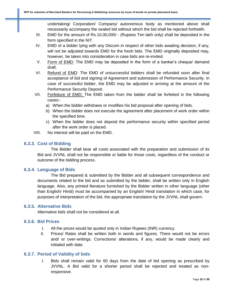undertaking/ Corporation/ Company/ autonomous body as mentioned above shall necessarily accompany the sealed bid without which the bid shall be rejected forthwith.

- III. EMD for the amount of Rs.10,00,000/ (Rupees Ten lakh only) shall be deposited in the form specified in the NIT.
- IV. EMD of a bidder lying with any Discom in respect of other bids awaiting decision, if any, will not be adjusted towards EMD for the fresh bids. The EMD originally deposited may, however, be taken into consideration in case bids are re-invited.
- V. Form of EMD: The EMD may be deposited in the form of a banker's cheque/ demand draft.
- VI. Refund of EMD: The EMD of unsuccessful bidders shall be refunded soon after final acceptance of bid and signing of Agreement and submission of Performance Security. In case of successful bidder, the EMD may be adjusted in arriving at the amount of the Performance Security Deposit.
- VII. Forfeiture of EMD: The EMD taken from the bidder shall be forfeited in the following cases:
	- a) When the bidder withdraws or modifies his bid proposal after opening of bids.
	- b) When the bidder does not execute the agreement after placement of work order within the specified time.
	- c) When the bidder does not deposit the performance security within specified period after the work order is placed.
- VIII. No interest will be paid on the EMD.

#### **6.3.3. Cost of Bidding**

The Bidder shall bear all costs associated with the preparation and submission of its Bid and JVVNL shall not be responsible or liable for those costs, regardless of the conduct or outcome of the bidding process.

#### **6.3.4. Language of Bids**

The Bid prepared & submitted by the Bidder and all subsequent correspondence and documents related to the bid and as submitted by the bidder, shall be written only in English language. Also, any printed literature furnished by the Bidder written in other language (other than English/ Hindi) must be accompanied by an English/ Hindi translation in which case, for purposes of interpretation of the bid, the appropriate translation by the JVVNL shall govern.

#### **6.3.5. Alternative Bids**

Alternative bids shall not be considered at all.

#### **6.3.6. Bid Prices**

- I. All the prices would be quoted only in Indian Rupees (INR) currency.
- II. Prices/ Rates shall be written both in words and figures. There would not be errors and/ or over-writings. Corrections/ alterations, if any, would be made clearly and initialed with date.

#### **6.3.7. Period of Validity of bids**

I. Bids shall remain valid for 60 days from the date of bid opening as prescribed by JVVNL. A Bid valid for a shorter period shall be rejected and treated as nonresponsive.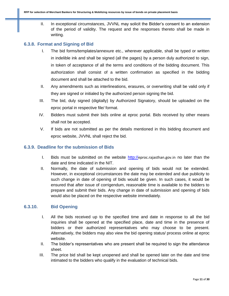II. In exceptional circumstances, JVVNL may solicit the Bidder's consent to an extension of the period of validity. The request and the responses thereto shall be made in writing.

#### **6.3.8. Format and Signing of Bid**

- I. The bid forms/templates/annexure etc., wherever applicable, shall be typed or written in indelible ink and shall be signed (all the pages) by a person duly authorized to sign, in token of acceptance of all the terms and conditions of the bidding document. This authorization shall consist of a written confirmation as specified in the bidding document and shall be attached to the bid.
- II. Any amendments such as interlineations, erasures, or overwriting shall be valid only if they are signed or initialed by the authorized person signing the bid.
- III. The bid, duly signed (digitally) by Authorized Signatory, should be uploaded on the eproc portal in respective file/ format.
- IV. Bidders must submit their bids online at eproc portal. Bids received by other means shall not be accepted.
- V. If bids are not submitted as per the details mentioned in this bidding document and eproc website, JVVNL shall reject the bid.

#### **6.3.9. Deadline for the submission of Bids**

- I. Bids must be submitted on the website http://eproc.rajasthan.gov.in no later than the date and time indicated in the NIT.
- II. Normally, the date of submission and opening of bids would not be extended. However, in exceptional circumstances the date may be extended and due publicity to such change in date of opening of bids would be given. In such cases, it would be ensured that after issue of corrigendum, reasonable time is available to the bidders to prepare and submit their bids. Any change in date of submission and opening of bids would also be placed on the respective website immediately.

#### **6.3.10. Bid Opening**

- I. All the bids received up to the specified time and date in response to all the bid inquiries shall be opened at the specified place, date and time in the presence of bidders or their authorized representatives who may choose to be present. Alternatively, the bidders may also view the bid opening status/ process online at eproc website.
- II. The bidder's representatives who are present shall be required to sign the attendance sheet.
- III. The price bid shall be kept unopened and shall be opened later on the date and time intimated to the bidders who qualify in the evaluation of technical bids.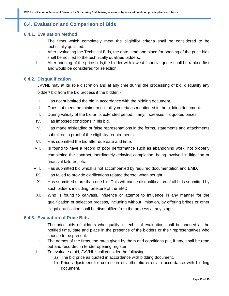## **6.4. Evaluation and Comparison of Bids**

#### **6.4.1. Evaluation Method**

- I. The firms which completely meet the eligibility criteria shall be considered to be technically qualified.
- II. After evaluating the Technical Bids, the date, time and place for opening of the price bids shall be notified to the technically qualified bidders,.
- III. After opening of the price bids,the bidder with lowest financial quote shall be ranked first and would be considered for selection.

#### **6.4.2. Disqualification**

JVVNL may at its sole discretion and at any time during the processing of bid, disqualify any bidder/ bid from the bid process if the bidder: -

- I. Has not submitted the bid in accordance with the bidding document.
- II. Does not meet the minimum eligibility criteria as mentioned in the bidding document.
- III. During validity of the bid or its extended period, if any, increases his quoted prices.
- IV. Has imposed conditions in his bid.
- V. Has made misleading or false representations in the forms, statements and attachments submitted in proof of the eligibility requirements.
- VI. Has submitted the bid after due date and time.
- VII. Is found to have a record of poor performance such as abandoning work, not properly completing the contract, inordinately delaying completion, being involved in litigation or financial failures, etc.
- VIII. Has submitted bid which is not accompanied by required documentation and EMD.
- IX. Has failed to provide clarifications related thereto, when sought.
- X. Has submitted more than one bid. This will cause disqualification of all bids submitted by such bidders including forfeiture of the EMD.
- XI. Who is found to canvass, influence or attempt to influence in any manner for the qualification or selection process, including without limitation, by offering bribes or other illegal gratification shall be disqualified from the process at any stage.

#### **6.4.3. Evaluation of Price Bids**

- I. The price bids of bidders who qualify in technical evaluation shall be opened at the notified time, date and place in the presence of the bidders or their representatives who choose to be present.
- II. The names of the firms, the rates given by them and conditions put, if any, shall be read out and recorded in tender opening register.
- III. To evaluate a bid, JVVNL shall consider the following:
	- a) The bid price as quoted in accordance with bidding document.
	- b) Price adjustment for correction of arithmetic errors in accordance with bidding document.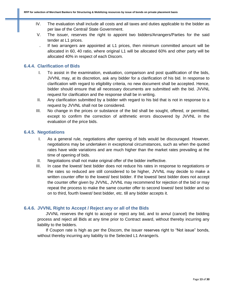- IV. The evaluation shall include all costs and all taxes and duties applicable to the bidder as per law of the Central/ State Government.
- V. The issuer, reserves the right to appoint two bidders/Arrangers/Parties for the said tender at L1 prices.
	- If two arrangers are appointed at L1 prices, then minimum committed amount will be allocated in 60, 40 ratio, where original L1 will be allocated 60% and other party will be allocated 40% in respect of each Discom.

#### **6.4.4. Clarification of Bids**

- I. To assist in the examination, evaluation, comparison and post qualification of the bids, JVVNL may, at its discretion, ask any bidder for a clarification of his bid. In response to clarification with regard to eligibility criteria, no new document shall be accepted. Hence, bidder should ensure that all necessary documents are submitted with the bid. JVVNL request for clarification and the response shall be in writing.
- II. Any clarification submitted by a bidder with regard to his bid that is not in response to a request by JVVNL shall not be considered.
- III. No change in the prices or substance of the bid shall be sought, offered, or permitted, except to confirm the correction of arithmetic errors discovered by JVVNL in the evaluation of the price bids.

#### **6.4.5. Negotiations**

- I. As a general rule, negotiations after opening of bids would be discouraged. However, negotiations may be undertaken in exceptional circumstances, such as when the quoted rates have wide variations and are much higher than the market rates prevailing at the time of opening of bids.
- II. Negotiations shall not make original offer of the bidder ineffective.
- III. In case the lowest/ best bidder does not reduce his rates in response to negotiations or the rates so reduced are still considered to be higher, JVVNL may decide to make a written counter offer to the lowest/ best bidder. If the lowest/ best bidder does not accept the counter offer given by JVVNL, JVVNL may recommend for rejection of the bid or may repeat the process to make the same counter offer to second lowest/ best bidder and so on to third, fourth lowest/ best bidder, etc. till any bidder accepts it.

#### **6.4.6. JVVNL Right to Accept / Reject any or all of the Bids**

JVVNL reserves the right to accept or reject any bid, and to annul (cancel) the bidding process and reject all Bids at any time prior to Contract award, without thereby incurring any liability to the bidders.

If Coupon rate is high as per the Discom, the issuer reserves right to "Not issue" bonds, without thereby incurring any liability to the Selected L1 Arranger/s.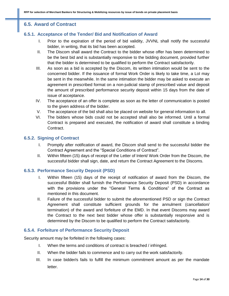# **6.5. Award of Contract**

### **6.5.1. Acceptance of the Tender/ Bid and Notification of Award**

- I. Prior to the expiration of the period of bid validity, JVVNL shall notify the successful bidder, in writing, that its bid has been accepted.
- II. The Discom shall award the Contract to the bidder whose offer has been determined to be the best bid and is substantially responsive to the bidding document, provided further that the bidder is determined to be qualified to perform the Contract satisfactorily.
- III. As soon as a bid is accepted by the Discom, its written intimation would be sent to the concerned bidder. If the issuance of formal Work Order is likely to take time, a LoI may be sent in the meanwhile. In the same intimation the bidder may be asked to execute an agreement in prescribed format on a non-judicial stamp of prescribed value and deposit the amount of prescribed performance security deposit within 15 days from the date of issue of acceptance.
- IV. The acceptance of an offer is complete as soon as the letter of communication is posted to the given address of the bidder.
- V. The acceptance of the bid shall also be placed on website for general information to all.
- VI. The bidders whose bids could not be accepted shall also be informed. Until a formal Contract is prepared and executed, the notification of award shall constitute a binding Contract.

#### **6.5.2. Signing of Contract**

- I. Promptly after notification of award, the Discom shall send to the successful bidder the Contract Agreement and the "Special Conditions of Contract".
- II. Within fifteen (15) days of receipt of the Letter of Intent/ Work Order from the Discom, the successful bidder shall sign, date, and return the Contract Agreement to the Discoms.

#### **6.5.3. Performance Security Deposit (PSD)**

- I. Within fifteen (15) days of the receipt of notification of award from the Discom, the successful Bidder shall furnish the Performance Security Deposit (PSD) in accordance with the provisions under the "General Terms & Conditions" of the Contract as mentioned in this document.
- II. Failure of the successful bidder to submit the aforementioned PSD or sign the Contract Agreement shall constitute sufficient grounds for the annulment (cancellation/ termination) of the award and forfeiture of the EMD. In that event Discoms may award the Contract to the next best bidder whose offer is substantially responsive and is determined by the Discom to be qualified to perform the Contract satisfactorily.

#### **6.5.4. Forfeiture of Performance Security Deposit**

Security amount may be forfeited in the following cases:

- I. When the terms and conditions of contract is breached / infringed.
- II. When the bidder fails to commence and to carry out the work satisfactorily.
- III. In case bidder/s fails to fulfill the minimum commitment amount as per the mandate letter.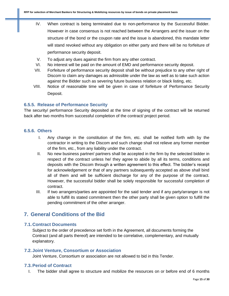- IV. When contract is being terminated due to non-performance by the Successful Bidder. However in case consensus is not reached between the Arrangers and the issuer on the structure of the bond or the coupon rate and the issue is abandoned, this mandate letter will stand revoked without any obligation on either party and there will be no forfeiture of performance security deposit.
- V. To adjust any dues against the firm from any other contract.
- VI. No interest will be paid on the amount of EMD and performance security deposit.
- VII. Forfeiture of performance security deposit shall be without prejudice to any other right of Discom to claim any damages as admissible under the law as well as to take such action against the Bidder such as severing future business relation or black listing, etc.
- VIII. Notice of reasonable time will be given in case of forfeiture of Performance Security Deposit.

#### **6.5.5. Release of Performance Security**

The security/ performance Security deposited at the time of signing of the contract will be returned back after two months from successful completion of the contract/ project period.

#### **6.5.6. Others**

- I. Any change in the constitution of the firm, etc. shall be notified forth with by the contractor in writing to the Discom and such change shall not relieve any former member of the firm, etc., from any liability under the contract.
- II. No new business partner/ partners shall be accepted in the firm by the selected bidder in respect of the contract unless he/ they agree to abide by all its terms, conditions and deposits with the Discom through a written agreement to this effect. The bidder's receipt for acknowledgement or that of any partners subsequently accepted as above shall bind all of them and will be sufficient discharge for any of the purpose of the contract. However, the successful bidder shall be solely responsible for successful completion of contract.
- III. If two arrangers/parties are appointed for the said tender and if any party/arranger is not able to fulfill its stated commitment then the other party shall be given option to fulfill the pending commitment of the other arranger.

## **7. General Conditions of the Bid**

#### **7.1.Contract Documents**

Subject to the order of precedence set forth in the Agreement, all documents forming the Contract (and all parts thereof) are intended to be correlative, complementary, and mutually explanatory.

#### **7.2.Joint Venture, Consortium or Association**

Joint Venture, Consortium or association are not allowed to bid in this Tender.

#### **7.3.Period of Contract**

I. The bidder shall agree to structure and mobilize the resources on or before end of 6 months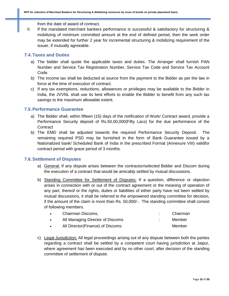from the date of award of contract.

II. If the mandated merchant bankers performance is successful & satisfactory for structuring & mobilizing of minimum committed amount at the end of defined period, then the work order may be extended for further 2 year for incremental structuring & mobilizing requirement of the issuer, if mutually agreeable.

#### **7.4.Taxes and Duties**

- a) The bidder shall quote the applicable taxes and duties. The Arranger shall furnish PAN Number and Service Tax Registration Number, Service Tax Code and Service Tax Account Code.
- b) The income tax shall be deducted at source from the payment to the Bidder as per the law in force at the time of execution of contract.
- c) If any tax exemptions, reductions, allowances or privileges may be available to the Bidder in India, the JVVNL shall use its best efforts to enable the Bidder to benefit from any such tax savings to the maximum allowable extent.

### **7.5.Performance Guarantee**

- a) The Bidder shall, within fifteen (15) days of the notification of Work/ Contract award, provide a Performance Security deposit of Rs.50,00,000(Fifty Lacs) for the due performance of the **Contract**
- b) The EMD shall be adjusted towards the required Performance Security Deposit. The remaining required PSD may be furnished in the form of Bank Guarantee issued by a Nationalized bank/ Scheduled Bank of India in the prescribed Format (Annexure VIII) validfor contract period with grace period of 3 months.

#### **7.6.Settlement of Disputes**

- a) General: If any dispute arises between the contractor/selected Bidder and Discom during the execution of a contract that would be amicably settled by mutual discussions.
- b) Standing Committee for Settlement of Disputes: If a question, difference or objection arises in connection with or out of the contract agreement or the meaning of operation of any part, thereof or the rights, duties or liabilities of either party have not been settled by mutual discussions, it shall be referred to the empowered standing committee for decision, if the amount of the claim is more than Rs. 50,000/-. The standing committee shall consist of following members.

| Chairman Discoms,                | Chairman |
|----------------------------------|----------|
| All Managing Director of Discoms | Member   |
| All Director(Finance) of Discoms | Member   |

c) Legal Jurisdiction: All legal proceedings arising out of any dispute between both the parties regarding a contract shall be settled by a competent court having jurisdiction at Jaipur, where agreement has been executed and by no other court, after decision of the standing committee of settlement of dispute.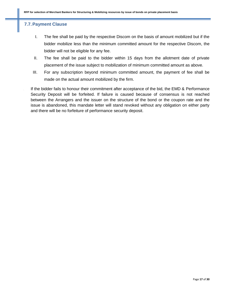### **7.7.Payment Clause**

- I. The fee shall be paid by the respective Discom on the basis of amount mobilized but if the bidder mobilize less than the minimum committed amount for the respective Discom, the bidder will not be eligible for any fee.
- II. The fee shall be paid to the bidder within 15 days from the allotment date of private placement of the issue subject to mobilization of minimum committed amount as above.
- III. For any subscription beyond minimum committed amount, the payment of fee shall be made on the actual amount mobilized by the firm.

If the bidder fails to honour their commitment after acceptance of the bid, the EMD & Performance Security Deposit will be forfeited. If failure is caused because of consensus is not reached between the Arrangers and the issuer on the structure of the bond or the coupon rate and the issue is abandoned, this mandate letter will stand revoked without any obligation on either party and there will be no forfeiture of performance security deposit.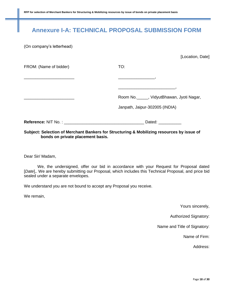# **Annexure I-A: TECHNICAL PROPOSAL SUBMISSION FORM**

(On company's letterhead)

|                                                                                 | [Location, Date]                                                                                                    |
|---------------------------------------------------------------------------------|---------------------------------------------------------------------------------------------------------------------|
| FROM: (Name of bidder)                                                          | TO:                                                                                                                 |
|                                                                                 |                                                                                                                     |
|                                                                                 | <u> Estados de la contrada de la contrada de la contrada de la contrada de la contrada de la contrada de la con</u> |
| the contract of the contract of the contract of the contract of the contract of | Room No. ______, VidyutBhawan, Jyoti Nagar,                                                                         |
|                                                                                 | Janpath, Jaipur-302005 (INDIA)                                                                                      |
|                                                                                 |                                                                                                                     |
|                                                                                 | Subject: Selection of Marchant Rankers for Structuring & Mobilizing resources by issue of                           |

#### **Subject: Selection of Merchant Bankers for Structuring & Mobilizing resources by issue of bonds on private placement basis.**

Dear Sir/ Madam,

We, the undersigned, offer our bid in accordance with your Request for Proposal dated [*Date*],. We are hereby submitting our Proposal, which includes this Technical Proposal, and price bid sealed under a separate envelopes.

We understand you are not bound to accept any Proposal you receive.

We remain,

Yours sincerely,

Authorized Signatory:

Name and Title of Signatory:

Name of Firm:

Address: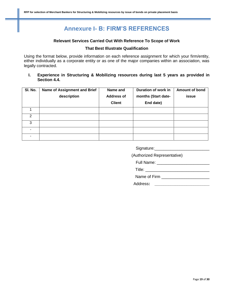# **Annexure I- B: FIRM'S REFERENCES**

#### **Relevant Services Carried Out With Reference To Scope of Work**

#### **That Best Illustrate Qualification**

Using the format below, provide information on each reference assignment for which your firm/entity, either individually as a corporate entity or as one of the major companies within an association, was legally contracted.

**I. Experience in Structuring & Mobilizing resources during last 5 years as provided in Section 4.4.**

| SI. No. | Name of Assignment and Brief | Name and          | Duration of work in | Amount of bond |
|---------|------------------------------|-------------------|---------------------|----------------|
|         | description                  | <b>Address of</b> | months (Start date- | issue          |
|         |                              | <b>Client</b>     | End date)           |                |
|         |                              |                   |                     |                |
| 2       |                              |                   |                     |                |
| 3       |                              |                   |                     |                |
|         |                              |                   |                     |                |
|         |                              |                   |                     |                |

| Signature: |  |  |
|------------|--|--|
|            |  |  |

(Authorized Representative)

Full Name: \_\_\_\_\_\_\_\_\_\_\_\_\_\_\_\_\_\_\_\_\_\_\_

Title: \_\_\_\_\_\_\_\_\_\_\_\_\_\_\_\_\_\_\_\_\_\_\_\_\_\_\_\_

Name of Firm \_\_\_\_\_\_\_\_\_\_\_\_\_\_\_\_\_\_\_\_\_

Address**: \_\_\_\_\_\_\_\_\_\_\_\_\_\_\_\_\_\_\_\_\_\_\_\_**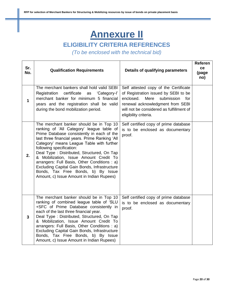# **Annexure II**

# **ELIGIBILITY CRITERIA REFERENCES**

*(To be enclosed with the technical bid)*

| Sr.<br>No. | <b>Qualification Requirements</b>                                                                                                                                                                                                                                                                                                                                                                                                                                                                                                        | Details of qualifying parameters                                                                                                                                                                                                 | Referen<br>ce<br>(page<br>no) |
|------------|------------------------------------------------------------------------------------------------------------------------------------------------------------------------------------------------------------------------------------------------------------------------------------------------------------------------------------------------------------------------------------------------------------------------------------------------------------------------------------------------------------------------------------------|----------------------------------------------------------------------------------------------------------------------------------------------------------------------------------------------------------------------------------|-------------------------------|
| 1          | The merchant bankers shall hold valid SEBI<br>Registration certificate<br>'Category-l'<br>as<br>merchant banker for minimum 5 financial<br>years and the registration shall be valid<br>during the bond mobilization period.                                                                                                                                                                                                                                                                                                             | Self attested copy of the Certificate<br>of Registration issued by SEBI to be<br>enclosed.<br>Mere<br>submission<br>for<br>renewal acknowledgment from SEBI<br>will not be considered as fulfillment of<br>eligibility criteria. |                               |
| 2.         | The merchant banker should be in Top 10<br>ranking of 'All Category' league table of<br>Prime Database consistently in each of the<br>last three financial years. Prime Ranking 'All<br>Category' means League Table with further<br>following specification:<br>Deal Type: Distributed, Structured, On Tap<br>& Mobilization, Issue Amount Credit To<br>arrangers: Full Basis, Other Conditions : a)<br>Excluding Capital Gain Bonds, Infrastructure<br>Bonds, Tax Free Bonds, b) By Issue<br>Amount, c) Issue Amount in Indian Rupees) | Self certified copy of prime database<br>is to be enclosed as documentary<br>proof.                                                                                                                                              |                               |
| 3          | The merchant banker should be in Top 10<br>ranking of combined league table of 'SLU<br>+SFC of Prime Database consistently in<br>each of the last three financial year.<br>Deal Type: Distributed, Structured, On Tap<br>& Mobilization, Issue Amount Credit To<br>arrangers: Full Basis, Other Conditions : a)<br>Excluding Capital Gain Bonds, Infrastructure<br>Bonds, Tax Free Bonds, b) By Issue<br>Amount, c) Issue Amount in Indian Rupees)                                                                                       | Self certified copy of prime database<br>is to be enclosed as documentary<br>proof.                                                                                                                                              |                               |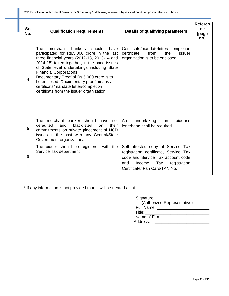| Sr.<br>No. | <b>Qualification Requirements</b>                                                                                                                                                                                                                                                                                                                                                                                                                              | Details of qualifying parameters                                                                                                                                                         | <b>Referen</b><br>ce<br>(page<br>no) |
|------------|----------------------------------------------------------------------------------------------------------------------------------------------------------------------------------------------------------------------------------------------------------------------------------------------------------------------------------------------------------------------------------------------------------------------------------------------------------------|------------------------------------------------------------------------------------------------------------------------------------------------------------------------------------------|--------------------------------------|
| 4          | <b>The</b><br>merchant<br>bankers<br>should<br>have<br>participated for Rs.5,000 crore in the last<br>three financial years (2012-13, 2013-14 and<br>2014-15) taken together, in the bond issues<br>of State level undertakings including State<br><b>Financial Corporations.</b><br>Documentary Proof of Rs.5,000 crore is to<br>be enclosed. Documentary proof means a<br>certificate/mandate letter/completion<br>certificate from the issuer organization. | Certificate/mandateletter/ completion<br>from<br>certificate<br>the<br>issuer<br>organization is to be enclosed.                                                                         |                                      |
| 5          | The merchant banker should have not<br>defaulted<br>blacklisted<br>and<br>their<br><b>on</b><br>commitments on private placement of NCD<br>issues in the past with any Central/State<br>Government organization/s.                                                                                                                                                                                                                                             | undertaking<br>bidder's<br>An<br>on<br>letterhead shall be required.                                                                                                                     |                                      |
| 6          | The bidder should be registered with the<br>Service Tax department                                                                                                                                                                                                                                                                                                                                                                                             | Self attested copy of Service Tax<br>registration certificate, Service Tax<br>code and Service Tax account code<br>registration<br>Income<br>Tax<br>and<br>Certificate/ Pan Card/TAN No. |                                      |

\* If any information is not provided than it will be treated as nil.

| Signature:                       |  |
|----------------------------------|--|
| (Authorized Representative)      |  |
| Full Name:                       |  |
| Title: The Contract of the Title |  |
| Name of Firm                     |  |
| Address:                         |  |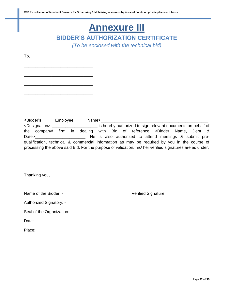# **Annexure III**

**BIDDER'S AUTHORIZATION CERTIFICATE** 

*(To be enclosed with the technical bid)*

To,

\_\_\_\_\_\_\_\_\_\_\_\_\_\_\_\_\_\_\_\_\_\_\_\_\_\_\_\_\_\_,

\_\_\_\_\_\_\_\_\_\_\_\_\_\_\_\_\_\_\_\_\_\_\_\_\_\_\_\_\_\_,

\_\_\_\_\_\_\_\_\_\_\_\_\_\_\_\_\_\_\_\_\_\_\_\_\_\_\_\_\_\_,

\_\_\_\_\_\_\_\_\_\_\_\_\_\_\_\_\_\_\_\_\_\_\_\_\_\_\_\_\_\_,

<Bidder's Employee Name>\_\_\_\_\_\_\_\_\_\_\_\_\_\_\_\_\_\_\_\_\_\_\_\_\_\_\_\_\_\_\_\_\_\_\_\_\_\_\_\_\_\_\_\_\_\_\_, <Designation> \_\_\_\_\_\_\_\_\_\_\_\_\_\_\_\_\_\_\_\_ is hereby authorized to sign relevant documents on behalf of the company/ firm in dealing with Bid of reference <Bidder Name, Dept & Date>\_\_\_\_\_\_\_\_\_\_\_\_\_\_\_\_\_\_\_\_\_\_\_\_\_. He is also authorized to attend meetings & submit prequalification, technical & commercial information as may be required by you in the course of processing the above said Bid. For the purpose of validation, his/ her verified signatures are as under.

Thanking you,

Name of the Bidder: - Verified Signature:

Authorized Signatory: -

Seal of the Organization: -

| Date: |
|-------|
|-------|

Place: \_\_\_\_\_\_\_\_\_\_\_\_\_\_\_\_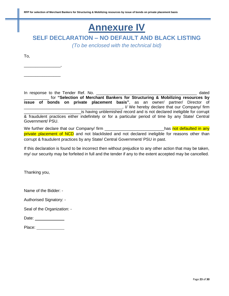# **Annexure IV**

**SELF DECLARATION – NO DEFAULT AND BLACK LISTING** 

*(To be enclosed with the technical bid)*

To,

\_\_\_\_\_\_\_\_\_\_\_\_\_\_\_\_,

\_\_\_\_\_\_\_\_\_\_\_\_\_\_\_\_

In response to the Tender Ref. No. \_\_\_\_\_\_\_\_\_\_\_\_\_\_\_\_\_\_\_\_\_\_\_\_\_\_\_\_\_\_\_\_\_\_\_\_\_\_\_\_\_\_\_\_ dated for "Selection of Merchant Bankers for Structuring & Mobilizing resources by **issue of bonds on private placement basis"**, as an owner/ partner/ Director of \_\_\_\_\_\_\_\_\_\_\_\_\_\_\_\_\_\_\_\_\_\_\_\_\_\_\_\_\_\_\_\_\_\_\_\_\_\_\_\_\_\_\_, I/ We hereby declare that our Company/ firm is having unblemished record and is not declared ineligible for corrupt & fraudulent practices either indefinitely or for a particular period of time by any State/ Central Government/ PSU. We further declare that our Company/ firm \_\_\_\_\_\_\_\_\_\_\_\_\_\_\_\_\_\_\_\_\_\_\_\_\_\_\_\_has not defaulted in any

private placement of NCD and not blacklisted and not declared ineligible for reasons other than corrupt & fraudulent practices by any State/ Central Government/ PSU in past.

If this declaration is found to be incorrect then without prejudice to any other action that may be taken, my/ our security may be forfeited in full and the tender if any to the extent accepted may be cancelled.

Thanking you,

Name of the Bidder: -

Authorised Signatory: -

Seal of the Organization: -

| Place: |  |
|--------|--|
|        |  |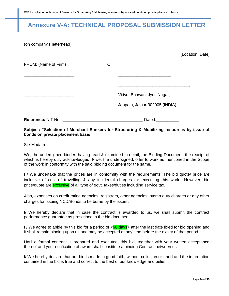# **Annexure V-A: TECHNICAL PROPOSAL SUBMISSION LETTER**

(on company's letterhead)

|                          |     |                                | [Location, Date] |
|--------------------------|-----|--------------------------------|------------------|
| FROM: (Name of Firm)     | TO: |                                |                  |
|                          |     |                                |                  |
|                          |     | Vidyut Bhawan, Jyoti Nagar,    |                  |
|                          |     | Janpath, Jaipur-302005 (INDIA) |                  |
| Reference: NIT No. :____ |     | Dated:                         |                  |

#### **Subject: "Selection of Merchant Bankers for Structuring & Mobilizing resources by issue of bonds on private placement basis**

Sir/ Madam:

We, the undersigned bidder, having read & examined in detail, the Bidding Document, the receipt of which is hereby duly acknowledged, I/ we, the undersigned, offer to work as mentioned in the Scope of the work in conformity with the said bidding document for the same.

I / We undertake that the prices are in conformity with the requirements. The bid quote/ price are inclusive of cost of travelling & any incidental charges for executing this work. However, bid price/quote are **exclusive** of all type of govt. taxes/duties including service tax.

Also, expenses on credit rating agencies, registrars, other agencies, stamp duty charges or any other charges for issuing NCD/Bonds to be borne by the issuer.

I/ We hereby declare that in case the contract is awarded to us, we shall submit the contract performance guarantee as prescribed in the bid document.

I / We agree to abide by this bid for a period of  $\leq 60$  days after the last date fixed for bid opening and it shall remain binding upon us and may be accepted at any time before the expiry of that period.

Until a formal contract is prepared and executed, this bid, together with your written acceptance thereof and your notification of award shall constitute a binding Contract between us.

I/ We hereby declare that our bid is made in good faith, without collusion or fraud and the information contained in the bid is true and correct to the best of our knowledge and belief.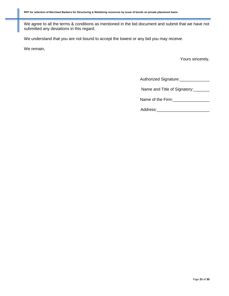We agree to all the terms & conditions as mentioned in the bid document and submit that we have not submitted any deviations in this regard.

We understand that you are not bound to accept the lowest or any bid you may receive.

We remain,

Yours sincerely,

Authorized Signature:\_\_\_\_\_\_\_\_\_\_\_\_\_\_\_

Name and Title of Signatory:

Name of the Firm:\_\_\_\_\_\_\_\_\_\_\_\_\_\_\_\_

| Address: |  |  |
|----------|--|--|
|          |  |  |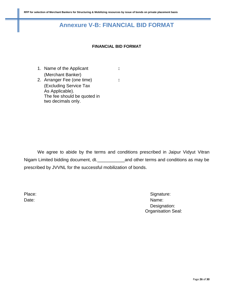# **Annexure V-B: FINANCIAL BID FORMAT**

#### **FINANCIAL BID FORMAT**

- 1. Name of the Applicant **:** (Merchant Banker) 2. Arranger Fee (one time) **:**
- (Excluding Service Tax As Applicable). The fee should be quoted in two decimals only.

We agree to abide by the terms and conditions prescribed in Jaipur Vidyut Vitran Nigam Limited bidding document, dt.\_\_\_\_\_\_\_\_\_\_\_and other terms and conditions as may be prescribed by JVVNL for the successful mobilization of bonds.

Place: Signature: Signature: Signature: Signature: Signature: Signature: Signature: Signature: Signature: Signature: Signature: Signature: Signature: Signature: Signature: Signature: Signature: Signature: Signature: Signat Date: Name: Name: Name: Name: Name: Name: Name: Name: Name: Name: Name: Name: Name: Name: Name: Name: Name: Name: Name: Name: Name: Name: Name: Name: Name: Name: Name: Name: Name: Name: Name: Name: Name: Name: Name: Name: Designation: Organisation Seal: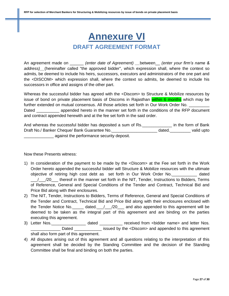# **Annexure VI DRAFT AGREEMENT FORMAT**

An agreement made on \_\_\_\_\_\_ *(enter date of Agreement) \_\_*between\_\_ *(enter your firm's name & address)\_\_*(hereinafter called "the approved bidder", which expression shall, where the context so admits, be deemed to include his heirs, successors, executors and administrators of the one part and the <DISCOM> which expression shall, where the context so admits, be deemed to include his successors in office and assigns of the other part.

Whereas the successful bidder has agreed with the <Discom> to Structure & Mobilize resources by issue of bond on private placement basis of Discoms in Rajasthan within 6 months which may be further extended on mutual consensus. All those articles set forth in Our Work Order No. \_\_\_\_\_\_\_\_\_ Dated \_\_\_\_\_\_\_\_\_\_\_ appended hereto in the manner set forth in the conditions of the RFP document and contract appended herewith and at the fee set forth in the said order.

| And whereas the successful bidder has deposited a sum of Rs. |        | in the form of Bank |
|--------------------------------------------------------------|--------|---------------------|
| Draft No./ Banker Cheque/ Bank Guarantee No.                 | dated. | valid upto          |
| against the performance security deposit.                    |        |                     |

#### Now these Presents witness:

- 1) In consideration of the payment to be made by the <Discom> at the Fee set forth in the Work Order hereto appended the successful bidder will Structure & Mobilize resources with the ultimate objective of retiring high cost debt as set forth in Our Work Order No.\_\_\_\_\_\_\_\_\_\_\_ dated \_\_\_/\_\_\_/20\_\_\_ thereof in the manner set forth in the NIT, Tender, Instructions to Bidders, Terms of Reference, General and Special Conditions of the Tender and Contract, Technical Bid and Price Bid along with their enclosures.
- 2) The NIT, Tender, Instructions to Bidders, Terms of Reference, General and Special Conditions of the Tender and Contract, Technical Bid and Price Bid along with their enclosures enclosed with the Tender Notice No.  $\frac{1}{20}$  dated.  $\frac{1}{20}$  and also appended to this agreement will be deemed to be taken as the integral part of this agreement and are binding on the parties executing this agreement.
- 3) Letter Nos. \_\_\_\_\_\_\_\_\_\_\_\_\_\_\_\_\_\_ dated \_\_\_\_\_\_\_\_\_\_\_ received from <bidder name> and letter Nos. Dated **Dated** issued by the <Discom> and appended to this agreement shall also form part of this agreement.
- 4) All disputes arising out of this agreement and all questions relating to the interpretation of this agreement shall be decided by the Standing Committee and the decision of the Standing Committee shall be final and binding on both the parties.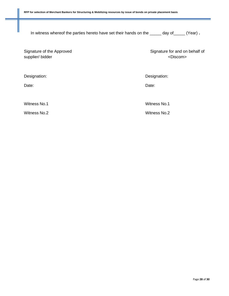In witness whereof the parties hereto have set their hands on the \_\_\_\_\_ day of\_\_\_\_\_ (Year) **.**

Signature of the Approved supplier/ bidder

Signature for and on behalf of <Discom>

Designation: Designation:

Date: **Date: Date: Date: Date: Date: Date: Date: Date: Date: Date: Date: Date: Date: Date: Date: Date: Date: Date: Date: Date: Date: Date: Date: Date: Date: Date: Date:**

Witness No.1 Witness No.1

Witness No.2 Witness No.2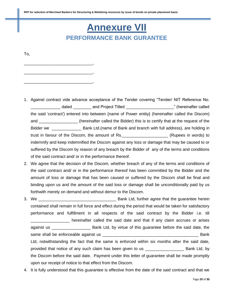# **Annexure VII PERFORMANCE BANK GURANTEE**

To,

\_\_\_\_\_\_\_\_\_\_\_\_\_\_\_\_\_\_\_\_\_\_\_\_\_\_\_\_\_\_,

\_\_\_\_\_\_\_\_\_\_\_\_\_\_\_\_\_\_\_\_\_\_\_\_\_\_\_\_\_\_,

\_\_\_\_\_\_\_\_\_\_\_\_\_\_\_\_\_\_\_\_\_\_\_\_\_\_\_\_\_\_,

- 1. Against contract vide advance acceptance of the Tender covering "Tender/ NIT Reference No. dated and Project Titled **Example 20** and  $\frac{1}{2}$  and Project Titled the said 'contract') entered into between {name of Power entity} (hereinafter called the Discom) and \_\_\_\_\_\_\_\_\_\_\_\_\_\_\_\_\_\_\_\_\_ (hereinafter called the Bidder) this is to certify that at the request of the Bidder we **EXA Bank Ltd.** (name of Bank and branch with full address), are holding in trust in favour of the Discom, the amount of Rs.\_\_\_\_\_\_\_\_\_\_\_\_\_\_\_\_\_\_\_\_ (Rupees in words) to indemnify and keep indemnified the Discom against any loss or damage that may be caused to or suffered by the Discom by reason of any breach by the Bidder of any of the terms and conditions of the said contract and/ or in the performance thereof.
- 2. We agree that the decision of the Discom, whether breach of any of the terms and conditions of the said contract and/ or in the performance thereof has been committed by the Bidder and the amount of loss or damage that has been caused or suffered by the Discom shall be final and binding upon us and the amount of the said loss or damage shall be unconditionally paid by us forthwith merely on demand and without demur to the Discom.
- 3. We \_\_\_\_\_\_\_\_\_\_\_\_\_\_\_\_\_\_\_\_\_\_\_\_\_\_\_\_\_\_\_\_\_\_ Bank Ltd, further agree that the guarantee herein contained shall remain in full force and effect during the period that would be taken for satisfactory performance and fulfillment in all respects of the said contract by the Bidder i.e. till hereinafter called the said date and that if any claim accrues or arises against us \_\_\_\_\_\_\_\_\_\_\_\_\_\_\_\_\_\_\_\_\_\_\_\_\_\_ Bank Ltd, by virtue of this guarantee before the said date, the same shall be enforceable against us \_\_\_\_\_\_\_\_\_\_\_\_\_\_\_\_\_\_\_\_\_\_\_\_\_\_\_\_\_\_\_\_\_\_\_\_\_\_\_\_\_\_ Bank Ltd, notwithstanding the fact that the same is enforced within six months after the said date, provided that notice of any such claim has been given to us \_\_\_\_\_\_\_\_\_\_\_\_\_\_\_\_\_\_\_\_\_ Bank Ltd, by the Discom before the said date. Payment under this letter of guarantee shall be made promptly upon our receipt of notice to that effect from the Discom.
- 4. It is fully understood that this guarantee is effective from the date of the said contract and that we